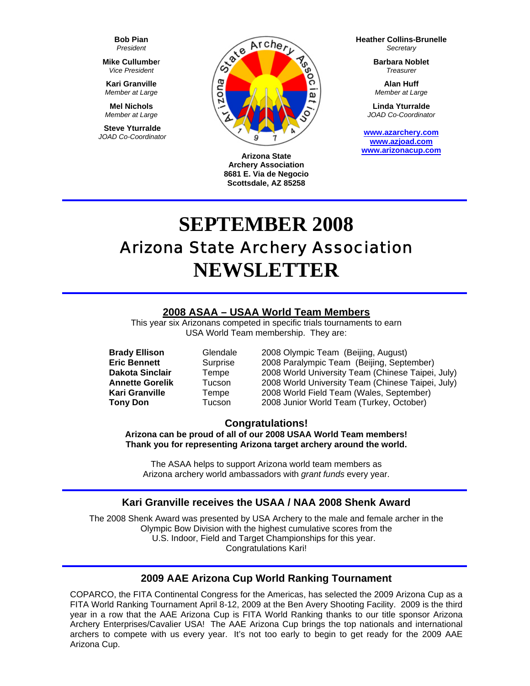**Bob Pian** *President* 

**Mike Cullumbe**r *Vice President* 

**Kari Granville**  *Member at Large*

**Mel Nichols**  *Member at Large*

**Steve Yturralde**  *JOAD Co-Coordinator* 



**Arizona State Archery Association 8681 E. Via de Negocio Scottsdale, AZ 85258**

**Heather Collins-Brunelle** *Secretary* 

> **Barbara Noblet** *Treasurer*

**Alan Huff**  *Member at Large*

**Linda Yturralde**  *JOAD Co-Coordinator* 

**[www.azarchery.com](http://www.azarchery.com/) [www.azjoad.com](http://www.azjoad.com/) [www.arizonacup.com](http://www.arizonacup.com/)**

# **SEPTEMBER 2008**  Arizona State Archery Association **NEWSLETTER**

## **2008 ASAA – USAA World Team Members**

This year six Arizonans competed in specific trials tournaments to earn USA World Team membership. They are:

**Brady Ellison** Glendale 2008 Olympic Team (Beijing, August)<br> **Eric Bennett** Surprise 2008 Paralympic Team (Beijing, Septe Surprise 2008 Paralympic Team (Beijing, September) **Dakota Sinclair** Tempe 2008 World University Team (Chinese Taipei, July) **Annette Gorelik** Tucson 2008 World University Team (Chinese Taipei, July)  **Kari Granville** Tempe 2008 World Field Team (Wales, September)  **Tony Don** Tucson 2008 Junior World Team (Turkey, October)

#### **Congratulations!**

**Arizona can be proud of all of our 2008 USAA World Team members! Thank you for representing Arizona target archery around the world.** 

The ASAA helps to support Arizona world team members as Arizona archery world ambassadors with *grant funds* every year.

#### **Kari Granville receives the USAA / NAA 2008 Shenk Award**

The 2008 Shenk Award was presented by USA Archery to the male and female archer in the Olympic Bow Division with the highest cumulative scores from the U.S. Indoor, Field and Target Championships for this year. Congratulations Kari!

#### **2009 AAE Arizona Cup World Ranking Tournament**

COPARCO, the FITA Continental Congress for the Americas, has selected the 2009 Arizona Cup as a FITA World Ranking Tournament April 8-12, 2009 at the Ben Avery Shooting Facility. 2009 is the third year in a row that the AAE Arizona Cup is FITA World Ranking thanks to our title sponsor Arizona Archery Enterprises/Cavalier USA! The AAE Arizona Cup brings the top nationals and international archers to compete with us every year. It's not too early to begin to get ready for the 2009 AAE Arizona Cup.